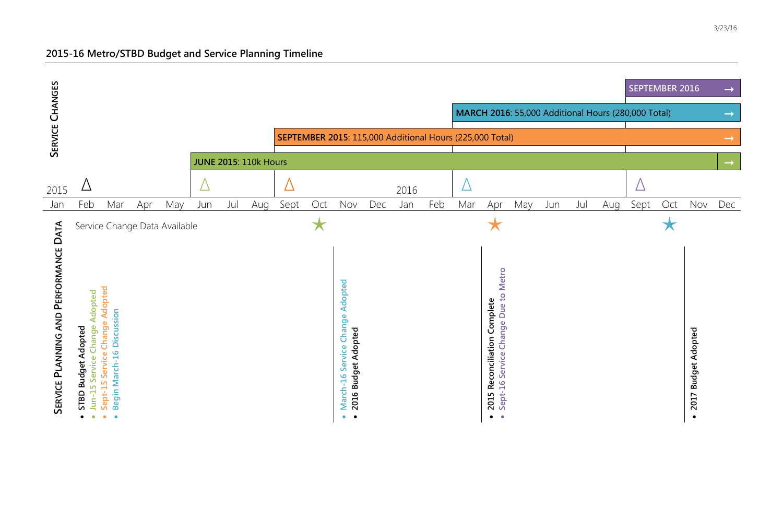## **2015-16 Metro/STBD Budget and Service Planning Timeline**